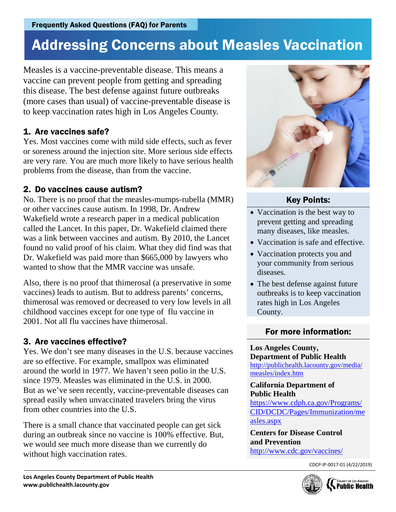## Addressing Concerns about Measles Vaccination

Measles is a vaccine-preventable disease. This means a vaccine can prevent people from getting and spreading this disease. The best defense against future outbreaks (more cases than usual) of vaccine-preventable disease is to keep vaccination rates high in Los Angeles County.

## 1. Are vaccines safe?

Yes. Most vaccines come with mild side effects, such as fever or soreness around the injection site. More serious side effects are very rare. You are much more likely to have serious health problems from the disease, than from the vaccine.

## 2. Do vaccines cause autism?

No. There is no proof that the measles-mumps-rubella (MMR) or other vaccines cause autism. In 1998, Dr. Andrew Wakefield wrote a research paper in a medical publication called the Lancet. In this paper, Dr. Wakefield claimed there was a link between vaccines and autism. By 2010, the Lancet found no valid proof of his claim. What they did find was that Dr. Wakefield was paid more than \$665,000 by lawyers who wanted to show that the MMR vaccine was unsafe.

Also, there is no proof that thimerosal (a preservative in some vaccines) leads to autism. But to address parents' concerns, thimerosal was removed or decreased to very low levels in all childhood vaccines except for one type of flu vaccine in 2001. Not all flu vaccines have thimerosal.

## 3. Are vaccines effective?

Yes. We don't see many diseases in the U.S. because vaccines are so effective. For example, smallpox was eliminated around the world in 1977. We haven't seen polio in the U.S. since 1979. Measles was eliminated in the U.S. in 2000. But as we've seen recently, vaccine-preventable diseases can spread easily when unvaccinated travelers bring the virus from other countries into the U.S.

There is a small chance that vaccinated people can get sick during an outbreak since no vaccine is 100% effective. But, we would see much more disease than we currently do without high vaccination rates.



## Key Points:

- Vaccination is the best way to prevent getting and spreading many diseases, like measles.
- Vaccination is safe and effective.
- Vaccination protects you and your community from serious diseases.
- The best defense against future outbreaks is to keep vaccination rates high in Los Angeles County.

## For more information:

#### **Los Angeles County, Department of Public Health** [http://publichealth.lacounty.gov/media/](http://publichealth.lacounty.gov/media/measles/index.htm) [measles/index.htm](http://publichealth.lacounty.gov/media/measles/index.htm)

#### **California Department of Public Health**

[https://www.cdph.ca.gov/Programs/](https://www.cdph.ca.gov/Programs/CID/DCDC/Pages/Immunization/measles.aspx) [CID/DCDC/Pages/Immunization/me](https://www.cdph.ca.gov/Programs/CID/DCDC/Pages/Immunization/measles.aspx) [asles.aspx](https://www.cdph.ca.gov/Programs/CID/DCDC/Pages/Immunization/measles.aspx)

**Centers for Disease Control and Prevention** <http://www.cdc.gov/vaccines/>

CDCP-IP-0017-01 (4/22/2019)